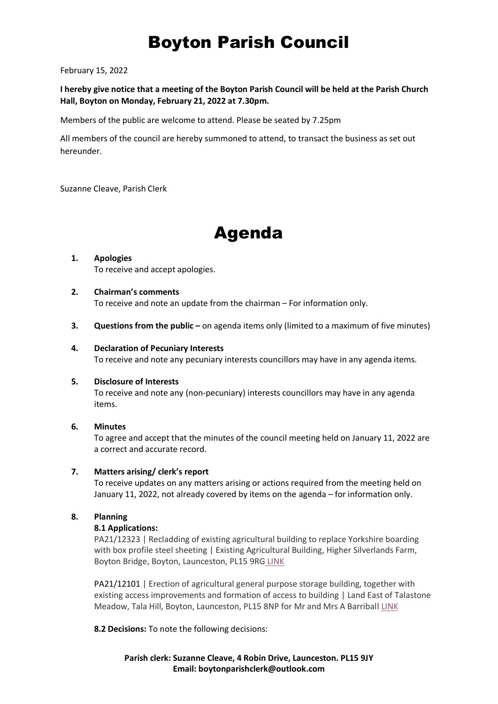# Boyton Parish Council

February 15, 2022

**I hereby give notice that a meeting of the Boyton Parish Council will be held at the Parish Church Hall, Boyton on Monday, February 21, 2022 at 7.30pm.**

Members of the public are welcome to attend. Please be seated by 7.25pm

All members of the council are hereby summoned to attend, to transact the business as set out hereunder.

Suzanne Cleave, Parish Clerk

# Agenda

## **1. Apologies**  To receive and accept apologies.

## **2. Chairman's comments**

To receive and note an update from the chairman – For information only.

**3. Questions from the public** – on agenda items only (limited to a maximum of five minutes)

## **4. Declaration of Pecuniary Interests**

To receive and note any pecuniary interests councillors may have in any agenda items.

#### **5. Disclosure of Interests**

To receive and note any (non-pecuniary) interests councillors may have in any agenda items.

#### **6. Minutes**

To agree and accept that the minutes of the council meeting held on January 11, 2022 are a correct and accurate record.

# **7. Matters arising/ clerk's report**

To receive updates on any matters arising or actions required from the meeting held on January 11, 2022, not already covered by items on the agenda – for information only.

# **8. Planning**

#### **8.1 Applications:**

PA21/12323 | Recladding of existing agricultural building to replace Yorkshire boarding with box profile steel sheeting | Existing Agricultural Building, Higher Silverlands Farm, Boyton Bridge, Boyton, Launceston, PL15 9RG [LINK](https://planning.cornwall.gov.uk/online-applications/files/D388BB21EE2F19C676F79137B01189C1/pdf/PA21_12323-APPLICATION_FORM-6091857.pdf)

PA21/12101 | Erection of agricultural general purpose storage building, together with existing access improvements and formation of access to building | Land East of Talastone Meadow, Tala Hill, Boyton, Launceston, PL15 8NP for Mr and Mrs A Barriball [LINK](https://planning.cornwall.gov.uk/online-applications/files/BEEBFA1B533AEBB85AD266342F175D20/pdf/PA21_12101-APPLICATION_FORM-6078562.pdf)

**8.2 Decisions:** To note the following decisions:

**Parish clerk: Suzanne Cleave, 4 Robin Drive, Launceston. PL15 9JY Email: boytonparishclerk@outlook.com**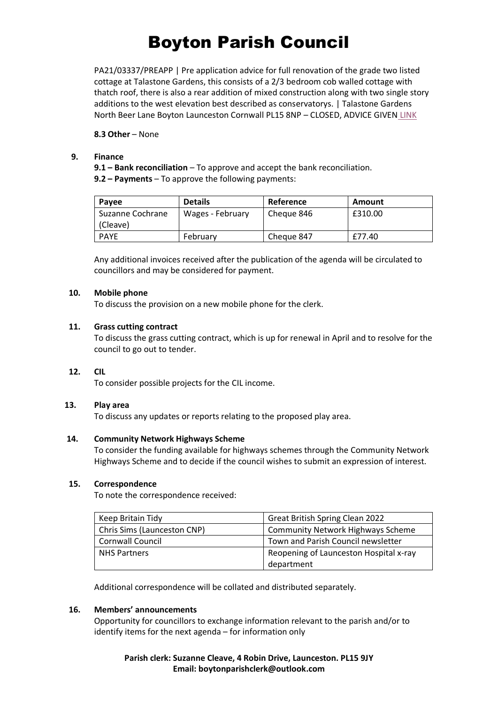# Boyton Parish Council

PA21/03337/PREAPP | Pre application advice for full renovation of the grade two listed cottage at Talastone Gardens, this consists of a 2/3 bedroom cob walled cottage with thatch roof, there is also a rear addition of mixed construction along with two single story additions to the west elevation best described as conservatorys. | Talastone Gardens North Beer Lane Boyton Launceston Cornwall PL15 8NP – CLOSED, ADVICE GIVEN [LINK](https://planning.cornwall.gov.uk/online-applications/files/0693208EE559343C266EBC0BBE8CE948/pdf/PA21_03337_PREAPP-PRE_APP_FORM_AND_PRIVACY-6110580.pdf)

**8.3 Other** – None

#### **9. Finance**

**9.1 – Bank reconciliation** – To approve and accept the bank reconciliation. **9.2 – Payments** – To approve the following payments:

| Payee            | <b>Details</b>   | Reference  | Amount  |
|------------------|------------------|------------|---------|
| Suzanne Cochrane | Wages - February | Cheque 846 | £310.00 |
| (Cleave)         |                  |            |         |
| <b>PAYE</b>      | February         | Cheque 847 | £77.40  |

Any additional invoices received after the publication of the agenda will be circulated to councillors and may be considered for payment.

## **10. Mobile phone**

To discuss the provision on a new mobile phone for the clerk.

## **11. Grass cutting contract**

To discuss the grass cutting contract, which is up for renewal in April and to resolve for the council to go out to tender.

# **12. CIL**

To consider possible projects for the CIL income.

#### **13. Play area**

To discuss any updates or reports relating to the proposed play area.

#### **14. Community Network Highways Scheme**

To consider the funding available for highways schemes through the Community Network Highways Scheme and to decide if the council wishes to submit an expression of interest.

#### **15. Correspondence**

To note the correspondence received:

| Keep Britain Tidy           | <b>Great British Spring Clean 2022</b>   |  |
|-----------------------------|------------------------------------------|--|
| Chris Sims (Launceston CNP) | <b>Community Network Highways Scheme</b> |  |
| <b>Cornwall Council</b>     | Town and Parish Council newsletter       |  |
| <b>NHS Partners</b>         | Reopening of Launceston Hospital x-ray   |  |
|                             | department                               |  |

Additional correspondence will be collated and distributed separately.

## **16. Members' announcements**

Opportunity for councillors to exchange information relevant to the parish and/or to identify items for the next agenda – for information only

# **Parish clerk: Suzanne Cleave, 4 Robin Drive, Launceston. PL15 9JY Email: boytonparishclerk@outlook.com**